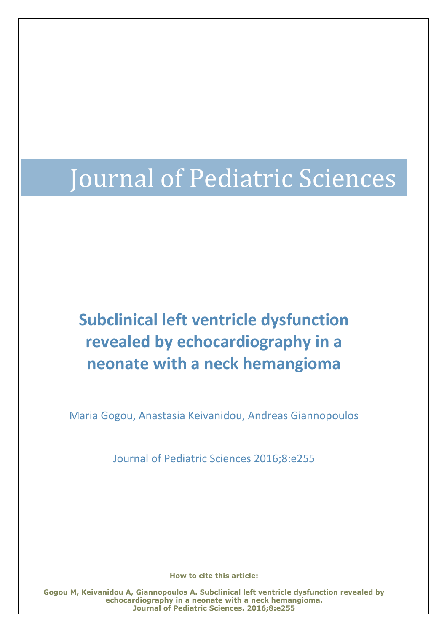# Journal of Pediatric Sciences

# **Subclinical left ventricle dysfunction revealed by echocardiography in a neonate with a neck hemangioma**

Maria Gogou, Anastasia Keivanidou, Andreas Giannopoulos

Journal of Pediatric Sciences 2016;8:e255

**How to cite this article:**

**Gogou M, Keivanidou A, Giannopoulos A. Subclinical left ventricle dysfunction revealed by echocardiography in a neonate with a neck hemangioma. Journal of Pediatric Sciences. 2016;8:e255**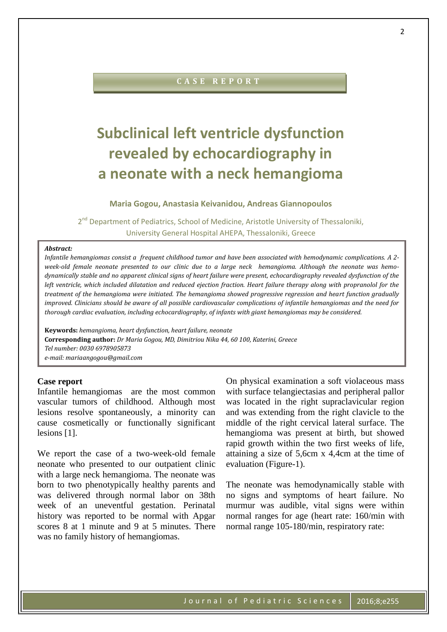# **C A S E R E P O R T**

# **Subclinical left ventricle dysfunction revealed by echocardiography in a neonate with a neck hemangioma**

### **Maria Gogou, Anastasia Keivanidou, Andreas Giannopoulos**

2<sup>nd</sup> Department of Pediatrics, School of Medicine, Aristotle University of Thessaloniki, University General Hospital AHEPA, Thessaloniki, Greece

#### *Abstract:*

*Infantile hemangiomas consist a frequent childhood tumor and have been associated with hemodynamic complications. A 2 week-old female neonate presented to our clinic due to a large neck hemangioma. Although the neonate was hemodynamically stable and no apparent clinical signs of heart failure were present, echocardiography revealed dysfunction of the* left ventricle, which included dilatation and reduced ejection fraction. Heart failure therapy along with propranolol for the *treatment of the hemangioma were initiated. The hemangioma showed progressive regression and heart function gradually improved. Clinicians should be aware of all possible cardiovascular complications of infantile hemangiomas and the need for thorough cardiac evaluation, including echocardiography, of infants with giant hemangiomas may be considered.*

**Keywords:** *hemangioma, heart dysfunction, heart failure, neonate* **Corresponding author:** *Dr Maria Gogou, MD, Dimitriou Nika 44, 60 100, Katerini, Greece Tel number: 0030 6978905873 e-mail: mariaangogou@gmail.com*

### **Case report**

Infantile hemangiomas are the most common vascular tumors of childhood. Although most lesions resolve spontaneously, a minority can cause cosmetically or functionally significant lesions [1].

We report the case of a two-week-old female neonate who presented to our outpatient clinic with a large neck hemangioma. The neonate was born to two phenotypically healthy parents and was delivered through normal labor on 38th week of an uneventful gestation. Perinatal history was reported to be normal with Apgar scores 8 at 1 minute and 9 at 5 minutes. There was no family history of hemangiomas.

On physical examination a soft violaceous mass with surface telangiectasias and peripheral pallor was located in the right supraclavicular region and was extending from the right clavicle to the middle of the right cervical lateral surface. The hemangioma was present at birth, but showed rapid growth within the two first weeks of life, attaining a size of 5,6cm x 4,4cm at the time of evaluation (Figure-1).

The neonate was hemodynamically stable with no signs and symptoms of heart failure. No murmur was audible, vital signs were within normal ranges for age (heart rate: 160/min with normal range 105-180/min, respiratory rate: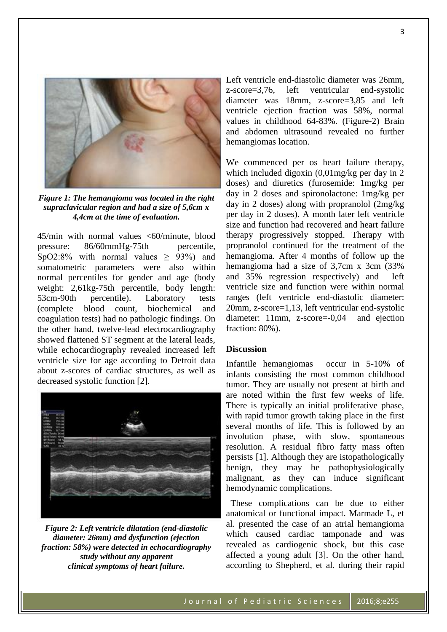

*Figure 1: The hemangioma was located in the right supraclavicular region and had a size of 5,6cm x 4,4cm at the time of evaluation.*

45/min with normal values <60/minute, blood pressure: 86/60mmHg-75th percentile, SpO2:8% with normal values  $\geq$  93%) and somatometric parameters were also within normal percentiles for gender and age (body weight: 2,61kg-75th percentile, body length: 53cm-90th percentile). Laboratory tests (complete blood count, biochemical and coagulation tests) had no pathologic findings. On the other hand, twelve-lead electrocardiography showed flattened ST segment at the lateral leads, while echocardiography revealed increased left ventricle size for age according to Detroit data about z-scores of cardiac structures, as well as decreased systolic function [2].



*Figure 2: Left ventricle dilatation (end-diastolic diameter: 26mm) and dysfunction (ejection fraction: 58%) were detected in echocardiography study without any apparent clinical symptoms of heart failure.*

Left ventricle end-diastolic diameter was 26mm, z-score=3,76, left ventricular end-systolic diameter was 18mm, z-score=3,85 and left ventricle ejection fraction was 58%, normal values in childhood 64-83%. (Figure-2) Brain and abdomen ultrasound revealed no further hemangiomas location.

We commenced per os heart failure therapy, which included digoxin (0,01mg/kg per day in 2 doses) and diuretics (furosemide: 1mg/kg per day in 2 doses and spironolactone: 1mg/kg per day in 2 doses) along with propranolol (2mg/kg per day in 2 doses). A month later left ventricle size and function had recovered and heart failure therapy progressively stopped. Therapy with propranolol continued for the treatment of the hemangioma. After 4 months of follow up the hemangioma had a size of 3,7cm x 3cm (33% and 35% regression respectively) and left ventricle size and function were within normal ranges (left ventricle end-diastolic diameter: 20mm, z-score=1,13, left ventricular end-systolic diameter: 11mm, z-score=-0,04 and ejection fraction: 80%).

## **Discussion**

Infantile hemangiomas occur in 5-10% of infants consisting the most common childhood tumor. They are usually not present at birth and are noted within the first few weeks of life. There is typically an initial proliferative phase, with rapid tumor growth taking place in the first several months of life. This is followed by an involution phase, with slow, spontaneous resolution. A residual fibro fatty mass often persists [1]. Although they are istopathologically benign, they may be pathophysiologically malignant, as they can induce significant hemodynamic complications.

 These complications can be due to either anatomical or functional impact. Marmade L, et al. presented the case of an atrial hemangioma which caused cardiac tamponade and was revealed as cardiogenic shock, but this case affected a young adult [3]. On the other hand, according to Shepherd, et al. during their rapid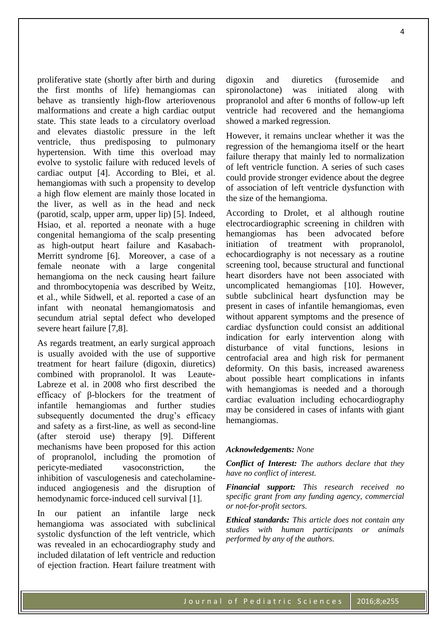proliferative state (shortly after birth and during the first months of life) hemangiomas can behave as transiently high-flow arteriovenous malformations and create a high cardiac output state. This state leads to a circulatory overload and elevates diastolic pressure in the left ventricle, thus predisposing to pulmonary hypertension. With time this overload may evolve to systolic failure with reduced levels of cardiac output [4]. According to Blei, et al. hemangiomas with such a propensity to develop a high flow element are mainly those located in the liver, as well as in the head and neck (parotid, scalp, upper arm, upper lip) [5]. Indeed, Hsiao, et al. reported a neonate with a huge congenital hemangioma of the scalp presenting as high-output heart failure and Kasabach-Merritt syndrome [6]. Moreover, a case of a female neonate with a large congenital hemangioma on the neck causing heart failure and thrombocytopenia was described by Weitz, et al., while Sidwell, et al. reported a case of an infant with neonatal hemangiomatosis and secundum atrial septal defect who developed severe heart failure [7,8].

As regards treatment, an early surgical approach is usually avoided with the use of supportive treatment for heart failure (digoxin, diuretics) combined with propranolol. It was Leaute-Labreze et al. in 2008 who first described the efficacy of β-blockers for the treatment of infantile hemangiomas and further studies subsequently documented the drug's efficacy and safety as a first-line, as well as second-line (after steroid use) therapy [9]. Different mechanisms have been proposed for this action of propranolol, including the promotion of pericyte-mediated vasoconstriction, the inhibition of vasculogenesis and catecholamineinduced angiogenesis and the disruption of hemodynamic force-induced cell survival [1].

In our patient an infantile large neck hemangioma was associated with subclinical systolic dysfunction of the left ventricle, which was revealed in an echocardiography study and included dilatation of left ventricle and reduction of ejection fraction. Heart failure treatment with

digoxin and diuretics (furosemide and spironolactone) was initiated along with propranolol and after 6 months of follow-up left ventricle had recovered and the hemangioma showed a marked regression.

However, it remains unclear whether it was the regression of the hemangioma itself or the heart failure therapy that mainly led to normalization of left ventricle function. A series of such cases could provide stronger evidence about the degree of association of left ventricle dysfunction with the size of the hemangioma.

According to Drolet, et al although routine electrocardiographic screening in children with hemangiomas has been advocated before initiation of treatment with propranolol, echocardiography is not necessary as a routine screening tool, because structural and functional heart disorders have not been associated with uncomplicated hemangiomas [10]. However, subtle subclinical heart dysfunction may be present in cases of infantile hemangiomas, even without apparent symptoms and the presence of cardiac dysfunction could consist an additional indication for early intervention along with disturbance of vital functions, lesions in centrofacial area and high risk for permanent deformity. On this basis, increased awareness about possible heart complications in infants with hemangiomas is needed and a thorough cardiac evaluation including echocardiography may be considered in cases of infants with giant hemangiomas.

#### *Acknowledgements: None*

*Conflict of Interest: The authors declare that they have no conflict of interest.*

*Financial support: This research received no specific grant from any funding agency, commercial or not-for-profit sectors.*

*Ethical standards: This article does not contain any studies with human participants or animals performed by any of the authors.*